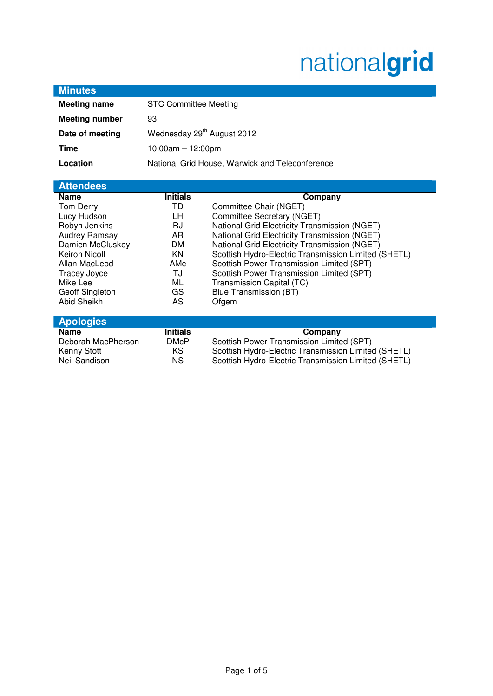# nationalgrid

| <b>Minutes</b>        |                                                 |                                                      |
|-----------------------|-------------------------------------------------|------------------------------------------------------|
| <b>Meeting name</b>   | <b>STC Committee Meeting</b>                    |                                                      |
| <b>Meeting number</b> | 93                                              |                                                      |
| Date of meeting       | Wednesday 29 <sup>th</sup> August 2012          |                                                      |
| <b>Time</b>           | $10:00am - 12:00pm$                             |                                                      |
| Location              | National Grid House, Warwick and Teleconference |                                                      |
|                       |                                                 |                                                      |
| <b>Attendees</b>      |                                                 |                                                      |
| <b>Name</b>           | <b>Initials</b>                                 | Company                                              |
| Tom Derry             | TD                                              | Committee Chair (NGET)                               |
| Lucy Hudson           | LН                                              | Committee Secretary (NGET)                           |
| Robyn Jenkins         | RJ                                              | National Grid Electricity Transmission (NGET)        |
| Audrey Ramsay         | AR                                              | National Grid Electricity Transmission (NGET)        |
| Damien McCluskey      | <b>DM</b>                                       | National Grid Electricity Transmission (NGET)        |
| <b>Keiron Nicoll</b>  | <b>KN</b>                                       | Scottish Hydro-Electric Transmission Limited (SHETL) |
| Allan MacLeod         | AMc                                             | Scottish Power Transmission Limited (SPT)            |
| Tracey Joyce          | TJ                                              | Scottish Power Transmission Limited (SPT)            |
| Mike Lee              | ML                                              | Transmission Capital (TC)                            |
| Geoff Singleton       | GS                                              | <b>Blue Transmission (BT)</b>                        |
| Abid Sheikh           | AS                                              | Ofgem                                                |
| <b>Apologies</b>      |                                                 |                                                      |
| <b>Name</b>           | <b>Initials</b>                                 | Company                                              |
| Deborah MacPherson    | <b>DMcP</b>                                     | Scottish Power Transmission Limited (SPT)            |
| Kenny Stott           | KS                                              | Scottish Hydro-Electric Transmission Limited (SHETL) |
| <b>Neil Sandison</b>  | <b>NS</b>                                       | Scottish Hydro-Electric Transmission Limited (SHETL) |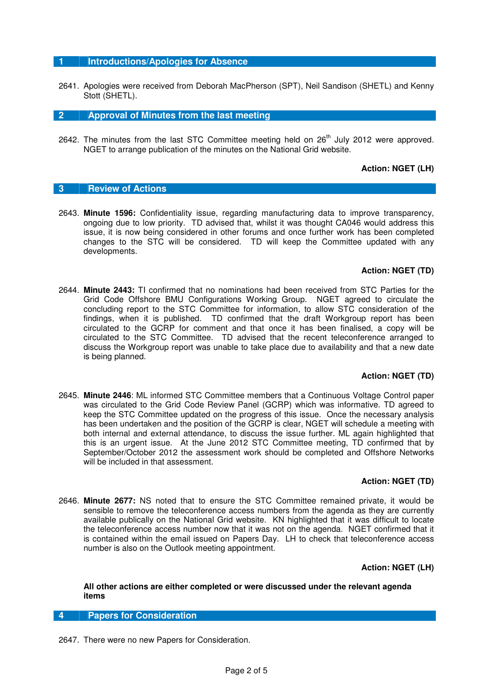## **1 Introductions/Apologies for Absence**

2641. Apologies were received from Deborah MacPherson (SPT), Neil Sandison (SHETL) and Kenny Stott (SHETL).

**2 Approval of Minutes from the last meeting** 

2642. The minutes from the last STC Committee meeting held on  $26<sup>th</sup>$  July 2012 were approved. NGET to arrange publication of the minutes on the National Grid website.

# **Action: NGET (LH)**

## **3 Review of Actions**

2643. **Minute 1596:** Confidentiality issue, regarding manufacturing data to improve transparency, ongoing due to low priority. TD advised that, whilst it was thought CA046 would address this issue, it is now being considered in other forums and once further work has been completed changes to the STC will be considered. TD will keep the Committee updated with any developments.

### **Action: NGET (TD)**

2644. **Minute 2443:** TI confirmed that no nominations had been received from STC Parties for the Grid Code Offshore BMU Configurations Working Group. NGET agreed to circulate the concluding report to the STC Committee for information, to allow STC consideration of the findings, when it is published. TD confirmed that the draft Workgroup report has been circulated to the GCRP for comment and that once it has been finalised, a copy will be circulated to the STC Committee. TD advised that the recent teleconference arranged to discuss the Workgroup report was unable to take place due to availability and that a new date is being planned.

# **Action: NGET (TD)**

2645. **Minute 2446**: ML informed STC Committee members that a Continuous Voltage Control paper was circulated to the Grid Code Review Panel (GCRP) which was informative. TD agreed to keep the STC Committee updated on the progress of this issue. Once the necessary analysis has been undertaken and the position of the GCRP is clear, NGET will schedule a meeting with both internal and external attendance, to discuss the issue further. ML again highlighted that this is an urgent issue. At the June 2012 STC Committee meeting, TD confirmed that by September/October 2012 the assessment work should be completed and Offshore Networks will be included in that assessment.

#### **Action: NGET (TD)**

2646. **Minute 2677:** NS noted that to ensure the STC Committee remained private, it would be sensible to remove the teleconference access numbers from the agenda as they are currently available publically on the National Grid website. KN highlighted that it was difficult to locate the teleconference access number now that it was not on the agenda. NGET confirmed that it is contained within the email issued on Papers Day. LH to check that teleconference access number is also on the Outlook meeting appointment.

#### **Action: NGET (LH)**

## **All other actions are either completed or were discussed under the relevant agenda items**

## **4 Papers for Consideration**

2647. There were no new Papers for Consideration.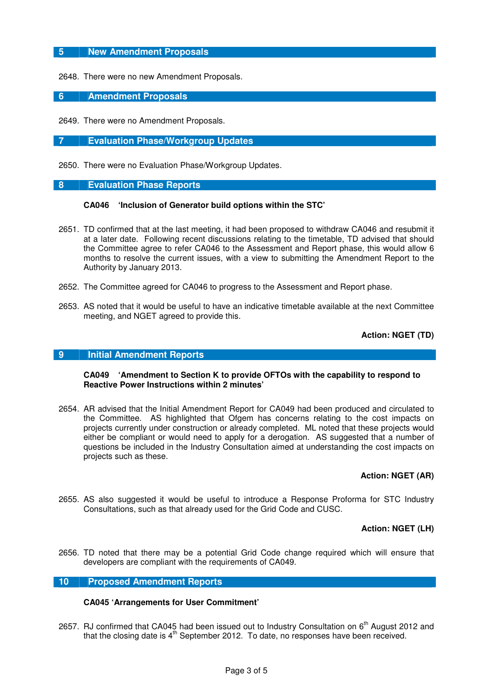# **5 New Amendment Proposals**

2648. There were no new Amendment Proposals.

## **6 Amendment Proposals**

2649. There were no Amendment Proposals.

**7 Evaluation Phase/Workgroup Updates** 

2650. There were no Evaluation Phase/Workgroup Updates.

## **8 Evaluation Phase Reports**

#### **CA046 'Inclusion of Generator build options within the STC'**

- 2651. TD confirmed that at the last meeting, it had been proposed to withdraw CA046 and resubmit it at a later date. Following recent discussions relating to the timetable, TD advised that should the Committee agree to refer CA046 to the Assessment and Report phase, this would allow 6 months to resolve the current issues, with a view to submitting the Amendment Report to the Authority by January 2013.
- 2652. The Committee agreed for CA046 to progress to the Assessment and Report phase.
- 2653. AS noted that it would be useful to have an indicative timetable available at the next Committee meeting, and NGET agreed to provide this.

**Action: NGET (TD)** 

#### **9 Initial Amendment Reports**

### **CA049 'Amendment to Section K to provide OFTOs with the capability to respond to Reactive Power Instructions within 2 minutes'**

2654. AR advised that the Initial Amendment Report for CA049 had been produced and circulated to the Committee. AS highlighted that Ofgem has concerns relating to the cost impacts on projects currently under construction or already completed. ML noted that these projects would either be compliant or would need to apply for a derogation. AS suggested that a number of questions be included in the Industry Consultation aimed at understanding the cost impacts on projects such as these.

# **Action: NGET (AR)**

2655. AS also suggested it would be useful to introduce a Response Proforma for STC Industry Consultations, such as that already used for the Grid Code and CUSC.

# **Action: NGET (LH)**

2656. TD noted that there may be a potential Grid Code change required which will ensure that developers are compliant with the requirements of CA049.

### **10 Proposed Amendment Reports**

# **CA045 'Arrangements for User Commitment'**

2657. RJ confirmed that CA045 had been issued out to Industry Consultation on 6<sup>th</sup> August 2012 and that the closing date is  $4^{\text{th}}$  September 2012. To date, no responses have been received.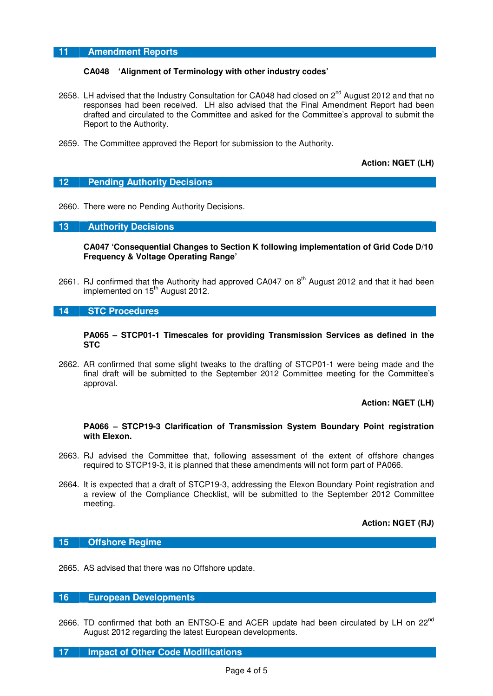# **11 Amendment Reports**

## **CA048 'Alignment of Terminology with other industry codes'**

- 2658. LH advised that the Industry Consultation for CA048 had closed on  $2^{nd}$  August 2012 and that no responses had been received. LH also advised that the Final Amendment Report had been drafted and circulated to the Committee and asked for the Committee's approval to submit the Report to the Authority.
- 2659. The Committee approved the Report for submission to the Authority.

**Action: NGET (LH)** 

## **12 Pending Authority Decisions**

2660. There were no Pending Authority Decisions.

## **13 Authority Decisions**

**CA047 'Consequential Changes to Section K following implementation of Grid Code D/10 Frequency & Voltage Operating Range'** 

2661. RJ confirmed that the Authority had approved CA047 on  $8<sup>th</sup>$  August 2012 and that it had been implemented on  $15<sup>th</sup>$  August 2012.

## **14 STC Procedures**

#### **PA065 – STCP01-1 Timescales for providing Transmission Services as defined in the STC**

2662. AR confirmed that some slight tweaks to the drafting of STCP01-1 were being made and the final draft will be submitted to the September 2012 Committee meeting for the Committee's approval.

#### **Action: NGET (LH)**

#### **PA066 – STCP19-3 Clarification of Transmission System Boundary Point registration with Elexon.**

- 2663. RJ advised the Committee that, following assessment of the extent of offshore changes required to STCP19-3, it is planned that these amendments will not form part of PA066.
- 2664. It is expected that a draft of STCP19-3, addressing the Elexon Boundary Point registration and a review of the Compliance Checklist, will be submitted to the September 2012 Committee meeting.

**Action: NGET (RJ)** 

## **15 Offshore Regime**

2665. AS advised that there was no Offshore update.

# **16 European Developments**

2666. TD confirmed that both an ENTSO-E and ACER update had been circulated by LH on  $22^{nd}$ August 2012 regarding the latest European developments.

#### **17 Impact of Other Code Modifications**